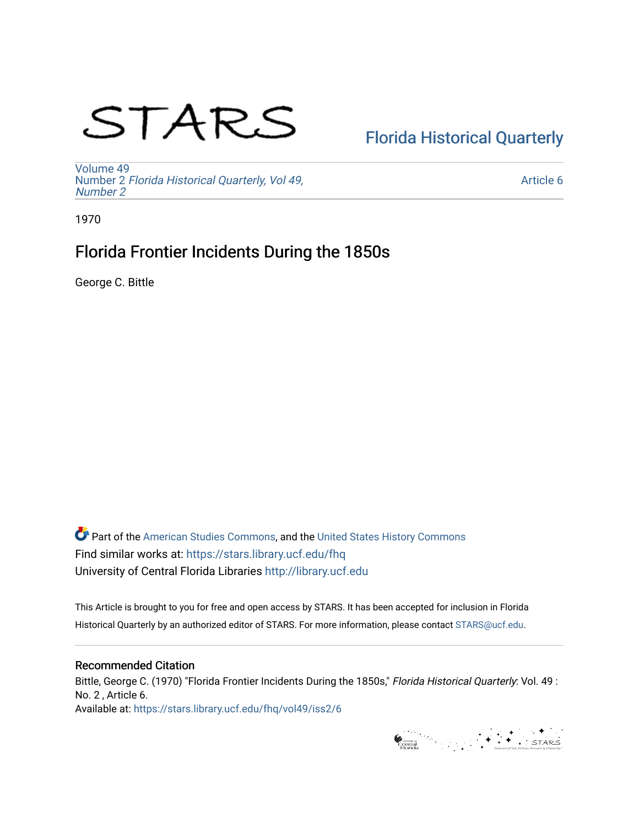# STARS

# [Florida Historical Quarterly](https://stars.library.ucf.edu/fhq)

[Volume 49](https://stars.library.ucf.edu/fhq/vol49) Number 2 [Florida Historical Quarterly, Vol 49,](https://stars.library.ucf.edu/fhq/vol49/iss2)  [Number 2](https://stars.library.ucf.edu/fhq/vol49/iss2)

[Article 6](https://stars.library.ucf.edu/fhq/vol49/iss2/6) 

1970

## Florida Frontier Incidents During the 1850s

George C. Bittle

**C** Part of the [American Studies Commons](http://network.bepress.com/hgg/discipline/439?utm_source=stars.library.ucf.edu%2Ffhq%2Fvol49%2Fiss2%2F6&utm_medium=PDF&utm_campaign=PDFCoverPages), and the United States History Commons Find similar works at: <https://stars.library.ucf.edu/fhq> University of Central Florida Libraries [http://library.ucf.edu](http://library.ucf.edu/) 

This Article is brought to you for free and open access by STARS. It has been accepted for inclusion in Florida Historical Quarterly by an authorized editor of STARS. For more information, please contact [STARS@ucf.edu.](mailto:STARS@ucf.edu)

## Recommended Citation

Bittle, George C. (1970) "Florida Frontier Incidents During the 1850s," Florida Historical Quarterly: Vol. 49: No. 2 , Article 6. Available at: [https://stars.library.ucf.edu/fhq/vol49/iss2/6](https://stars.library.ucf.edu/fhq/vol49/iss2/6?utm_source=stars.library.ucf.edu%2Ffhq%2Fvol49%2Fiss2%2F6&utm_medium=PDF&utm_campaign=PDFCoverPages) 

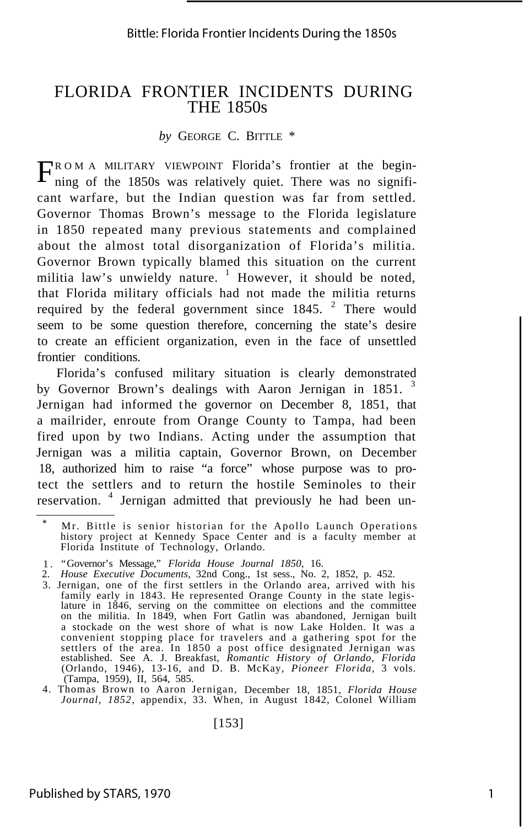### FLORIDA FRONTIER INCIDENTS DURING THE 1850s

#### *by* GEORGE C. BITTLE \*

 $\Gamma_{\text{ning of the 1850s}}$  with viewpoint Florida's frontier at the begin-<br>ming of the 1850s was relatively quiet. There was no signifining of the 1850s was relatively quiet. There was no significant warfare, but the Indian question was far from settled. Governor Thomas Brown's message to the Florida legislature in 1850 repeated many previous statements and complained about the almost total disorganization of Florida's militia. Governor Brown typically blamed this situation on the current militia law's unwieldy nature. <sup>1</sup> However, it should be noted, that Florida military officials had not made the militia returns required by the federal government since  $1845$ . <sup>2</sup> There would seem to be some question therefore, concerning the state's desire to create an efficient organization, even in the face of unsettled frontier conditions.

Florida's confused military situation is clearly demonstrated by Governor Brown's dealings with Aaron Jernigan in 1851.<sup>3</sup> Jernigan had informed the governor on December 8, 1851, that a mailrider, enroute from Orange County to Tampa, had been fired upon by two Indians. Acting under the assumption that Jernigan was a militia captain, Governor Brown, on December 18, authorized him to raise "a force" whose purpose was to protect the settlers and to return the hostile Seminoles to their reservation. <sup>4</sup> Jernigan admitted that previously he had been un-

Mr. Bittle is senior historian for the Apollo Launch Operations history project at Kennedy Space Center and is a faculty member at Florida Institute of Technology, Orlando.

<sup>1</sup> . "Governor's Message," *Florida House Journal 1850,* 16.

<sup>2.</sup> *House Executive Documents,* 32nd Cong., 1st sess., No. 2, 1852, p. 452.

<sup>3.</sup> Jernigan, one of the first settlers in the Orlando area, arrived with his family early in 1843. He represented Orange County in the state legislature in 1846, serving on the committee on elections and the committee on the militia. In 1849, when Fort Gatlin was abandoned, Jernigan built a stockade on the west shore of what is now Lake Holden. It was a convenient stopping place for travelers and a gathering spot for the settlers of the area. In 1850 a post office designated Jernigan was established. See A. J. Breakfast, *Romantic History of Orlando, Florida* (Orlando, 1946), 13-16, and D. B. McKay, *Pioneer Florida,* 3 vols. (Tampa, 1959), II, 564, 585.

<sup>4.</sup> Thomas Brown to Aaron Jernigan, December 18, 1851, *Florida House Journal, 1852,* appendix, 33. When, in August 1842, Colonel William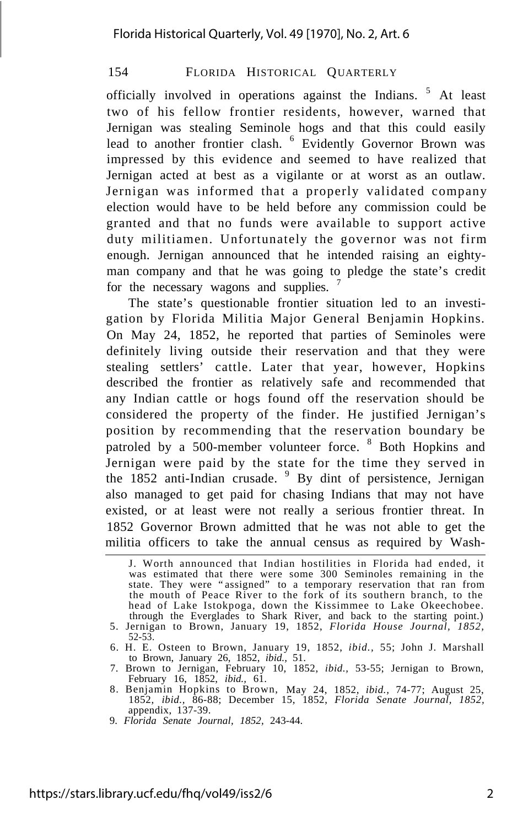officially involved in operations against the Indians.<sup>5</sup> At least two of his fellow frontier residents, however, warned that Jernigan was stealing Seminole hogs and that this could easily lead to another frontier clash. <sup>6</sup> Evidently Governor Brown was impressed by this evidence and seemed to have realized that Jernigan acted at best as a vigilante or at worst as an outlaw. Jernigan was informed that a properly validated company election would have to be held before any commission could be granted and that no funds were available to support active duty militiamen. Unfortunately the governor was not firm enough. Jernigan announced that he intended raising an eightyman company and that he was going to pledge the state's credit for the necessary wagons and supplies.

The state's questionable frontier situation led to an investigation by Florida Militia Major General Benjamin Hopkins. On May 24, 1852, he reported that parties of Seminoles were definitely living outside their reservation and that they were stealing settlers' cattle. Later that year, however, Hopkins described the frontier as relatively safe and recommended that any Indian cattle or hogs found off the reservation should be considered the property of the finder. He justified Jernigan's position by recommending that the reservation boundary be patroled by a 500-member volunteer force. <sup>8</sup> Both Hopkins and Jernigan were paid by the state for the time they served in the 1852 anti-Indian crusade. <sup>9</sup> By dint of persistence, Jernigan also managed to get paid for chasing Indians that may not have existed, or at least were not really a serious frontier threat. In 1852 Governor Brown admitted that he was not able to get the militia officers to take the annual census as required by Wash-

5. Jernigan to Brown, January 19, 1852, *Florida House Journal, 1852,* 52-53.

J. Worth announced that Indian hostilities in Florida had ended, it was estimated that there were some 300 Seminoles remaining in the state. They were "assigned" to a temporary reservation that ran from the mouth of Peace River to the fork of its southern branch, to the head of Lake Istokpoga, down the Kissimmee to Lake Okeechobee. through the Everglades to Shark River, and back to the starting point.)

<sup>6.</sup> H. E. Osteen to Brown, January 19, 1852, *ibid.,* 55; John J. Marshall to Brown, January 26, 1852, *ibid.,* 51. 7. Brown to Jernigan, February 10, 1852, *ibid.,* 53-55; Jernigan to Brown,

February 16, 1852, *ibid.,* 61.

<sup>8.</sup> Benjamin Hopkins to Brown, May 24, 1852, *ibid.,* 74-77; August 25, 1852, *ibid.,* 86-88; December 15, 1852, *Florida Senate Journal, 1852,* appendix, 137-39.

<sup>9.</sup> *Florida Senate Journal, 1852,* 243-44.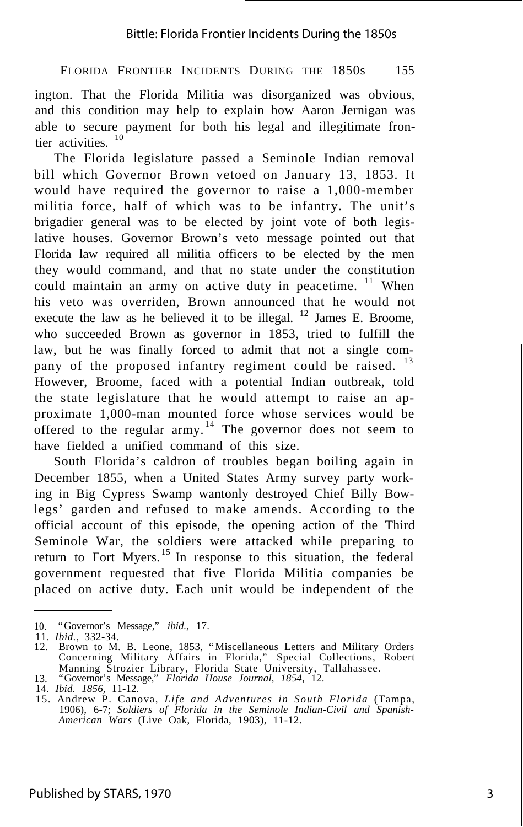#### FLORIDA FRONTIER INCIDENTS DURING THE 1850s 155

ington. That the Florida Militia was disorganized was obvious, and this condition may help to explain how Aaron Jernigan was able to secure payment for both his legal and illegitimate frontier activities.

The Florida legislature passed a Seminole Indian removal bill which Governor Brown vetoed on January 13, 1853. It would have required the governor to raise a 1,000-member militia force, half of which was to be infantry. The unit's brigadier general was to be elected by joint vote of both legislative houses. Governor Brown's veto message pointed out that Florida law required all militia officers to be elected by the men they would command, and that no state under the constitution could maintain an army on active duty in peacetime. <sup>11</sup> When his veto was overriden, Brown announced that he would not execute the law as he believed it to be illegal. <sup>12</sup> James E. Broome, who succeeded Brown as governor in 1853, tried to fulfill the law, but he was finally forced to admit that not a single company of the proposed infantry regiment could be raised. <sup>13</sup> However, Broome, faced with a potential Indian outbreak, told the state legislature that he would attempt to raise an approximate 1,000-man mounted force whose services would be offered to the regular army.<sup>14</sup> The governor does not seem to have fielded a unified command of this size.

South Florida's caldron of troubles began boiling again in December 1855, when a United States Army survey party working in Big Cypress Swamp wantonly destroyed Chief Billy Bowlegs' garden and refused to make amends. According to the official account of this episode, the opening action of the Third Seminole War, the soldiers were attacked while preparing to return to Fort Myers. <sup>15</sup> In response to this situation, the federal government requested that five Florida Militia companies be placed on active duty. Each unit would be independent of the

<sup>10.</sup> "Governor's Message," *ibid.,* 17.

<sup>11.</sup> *Ibid.,* 332-34.

<sup>12.</sup> Brown to M. B. Leone, 1853, "Miscellaneous Letters and Military Orders Concerning Military Affairs in Florida," Special Collections, Robert Manning Strozier Library, Florida State University, Tallahassee.<br>13. "Governor's Message," Florida House Journal, 1854, 12.<br>14. Ibid. 1856, 11-12.<br>15. Andrew P. Canova, Life and Adventures in South Florida (Tampa,

<sup>1906), 6-7;</sup> *Soldiers of Florida in the Seminole Indian-Civil and Spanish-American Wars* (Live Oak, Florida, 1903), 11-12.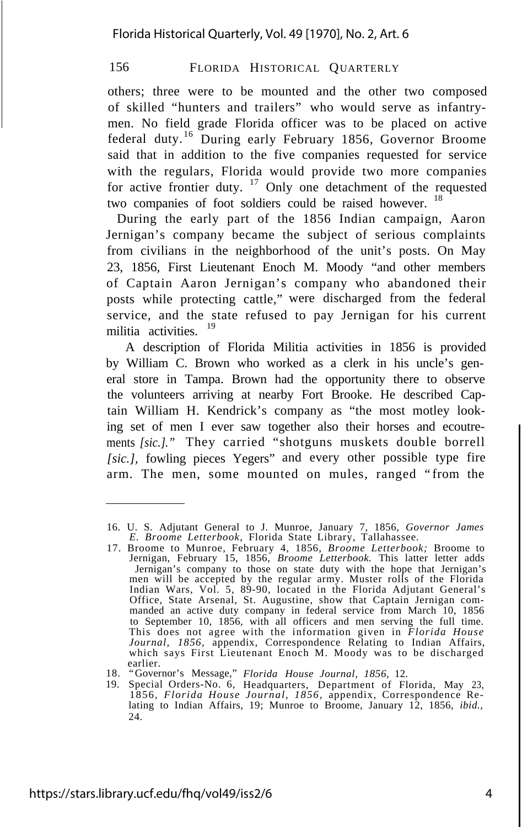others; three were to be mounted and the other two composed of skilled "hunters and trailers" who would serve as infantrymen. No field grade Florida officer was to be placed on active federal duty. <sup>16</sup> During early February 1856, Governor Broome said that in addition to the five companies requested for service with the regulars, Florida would provide two more companies for active frontier duty.  $17$  Only one detachment of the requested two companies of foot soldiers could be raised however. <sup>18</sup>

During the early part of the 1856 Indian campaign, Aaron Jernigan's company became the subject of serious complaints from civilians in the neighborhood of the unit's posts. On May 23, 1856, First Lieutenant Enoch M. Moody "and other members of Captain Aaron Jernigan's company who abandoned their posts while protecting cattle," were discharged from the federal service, and the state refused to pay Jernigan for his current militia activities. <sup>19</sup>

A description of Florida Militia activities in 1856 is provided by William C. Brown who worked as a clerk in his uncle's general store in Tampa. Brown had the opportunity there to observe the volunteers arriving at nearby Fort Brooke. He described Captain William H. Kendrick's company as "the most motley looking set of men I ever saw together also their horses and ecoutrements *[sic.]."* They carried "shotguns muskets double borrell *[sic.],* fowling pieces Yegers" and every other possible type fire arm. The men, some mounted on mules, ranged "from the

<sup>16.</sup> U. S. Adjutant General to J. Munroe, January 7, 1856, *Governor James E. Broome Letterbook,* Florida State Library, Tallahassee.

<sup>17.</sup> Broome to Munroe, February 4, 1856, *Broome Letterbook;* Broome to Jernigan, February 15, 1856, *Broome Letterbook.* This latter letter adds Jernigan's company to those on state duty with the hope that Jernigan's<br>men will be accepted by the regular army. Muster rolls of the Florida<br>Indian Wars, Vol. 5, 89-90, located in the Florida Adjutant General's<br>Office, St to September 10, 1856, with all officers and men serving the full time. This does not agree with the information given in *Florida House Journal, 1856,* appendix, Correspondence Relating to Indian Affairs, which says First Lieutenant Enoch M. Moody was to be discharged earlier.

<sup>18.</sup> "Governor's Message," *Florida House Journal, 1856,* 12.

<sup>19.</sup> Special Orders-No. 6, Headquarters, Department of Florida, May 23, 1856, *Florida House Journal, 1856,* appendix, Correspondence Re-lating to Indian Affairs, 19; Munroe to Broome, January 12, 1856, *ibid.,* 24.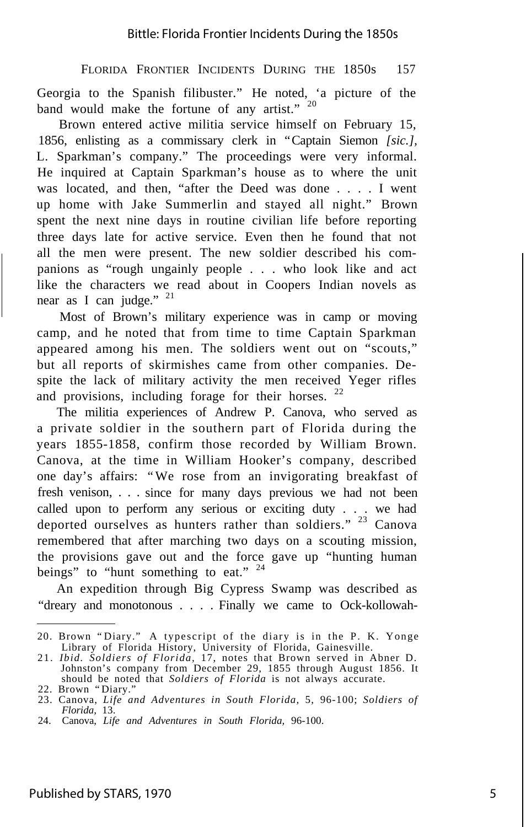FLORIDA FRONTIER INCIDENTS DURING THE 1850s 157

Georgia to the Spanish filibuster." He noted, 'a picture of the band would make the fortune of any artist." 20

Brown entered active militia service himself on February 15, 1856, enlisting as a commissary clerk in "Captain Siemon *[sic.],* L. Sparkman's company." The proceedings were very informal. He inquired at Captain Sparkman's house as to where the unit was located, and then, "after the Deed was done . . . . I went up home with Jake Summerlin and stayed all night." Brown spent the next nine days in routine civilian life before reporting three days late for active service. Even then he found that not all the men were present. The new soldier described his companions as "rough ungainly people . . . who look like and act like the characters we read about in Coopers Indian novels as near as I can judge."  $21$ 

Most of Brown's military experience was in camp or moving camp, and he noted that from time to time Captain Sparkman appeared among his men. The soldiers went out on "scouts," but all reports of skirmishes came from other companies. Despite the lack of military activity the men received Yeger rifles and provisions, including forage for their horses.

The militia experiences of Andrew P. Canova, who served as a private soldier in the southern part of Florida during the years 1855-1858, confirm those recorded by William Brown. Canova, at the time in William Hooker's company, described one day's affairs: "We rose from an invigorating breakfast of fresh venison, . . . since for many days previous we had not been called upon to perform any serious or exciting duty . . . we had deported ourselves as hunters rather than soldiers." <sup>23</sup> Canova remembered that after marching two days on a scouting mission, the provisions gave out and the force gave up "hunting human beings" to "hunt something to eat."  $24$ 

An expedition through Big Cypress Swamp was described as "dreary and monotonous . . . . Finally we came to Ock-kollowah-

<sup>20.</sup> Brown "Diary." A typescript of the diary is in the P. K. Yonge Library of Florida History, University of Florida, Gainesville.

<sup>21.</sup> *Ibid. Soldiers of Florida,* 17, notes that Brown served in Abner D. Johnston's company from December 29, 1855 through August 1856. It should be noted that *Soldiers of Florida* is not always accurate. 22. Brown "Diary." 23. Canova, *Life and Adventures in South Florida,* 5, 96-100; *Soldiers of*

*Florida,* 13.

<sup>24.</sup> Canova, *Life and Adventures in South Florida,* 96-100.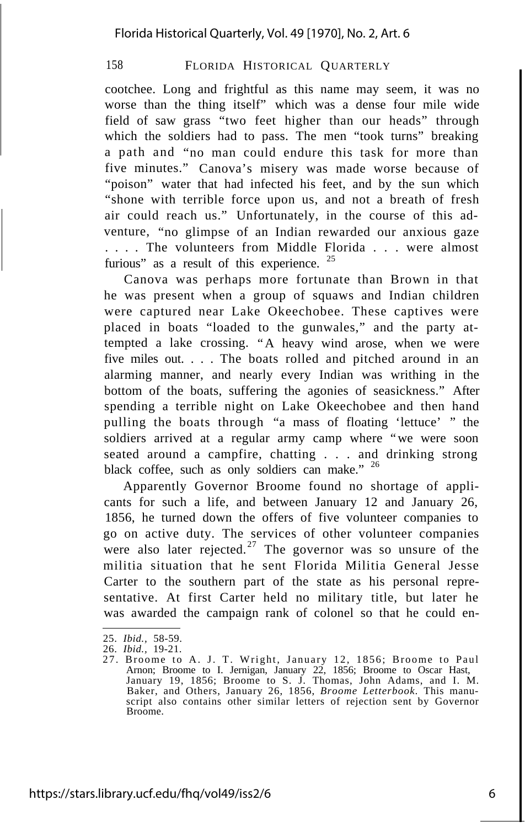cootchee. Long and frightful as this name may seem, it was no worse than the thing itself" which was a dense four mile wide field of saw grass "two feet higher than our heads" through which the soldiers had to pass. The men "took turns" breaking a path and "no man could endure this task for more than five minutes." Canova's misery was made worse because of "poison" water that had infected his feet, and by the sun which "shone with terrible force upon us, and not a breath of fresh air could reach us." Unfortunately, in the course of this adventure, "no glimpse of an Indian rewarded our anxious gaze . . . . The volunteers from Middle Florida . . . were almost furious" as a result of this experience.  $25$ 

Canova was perhaps more fortunate than Brown in that he was present when a group of squaws and Indian children were captured near Lake Okeechobee. These captives were placed in boats "loaded to the gunwales," and the party attempted a lake crossing. "A heavy wind arose, when we were five miles out. . . . The boats rolled and pitched around in an alarming manner, and nearly every Indian was writhing in the bottom of the boats, suffering the agonies of seasickness." After spending a terrible night on Lake Okeechobee and then hand pulling the boats through "a mass of floating 'lettuce' " the soldiers arrived at a regular army camp where "we were soon seated around a campfire, chatting . . . and drinking strong black coffee, such as only soldiers can make." 26

Apparently Governor Broome found no shortage of applicants for such a life, and between January 12 and January 26, 1856, he turned down the offers of five volunteer companies to go on active duty. The services of other volunteer companies were also later rejected.<sup>27</sup> The governor was so unsure of the militia situation that he sent Florida Militia General Jesse Carter to the southern part of the state as his personal representative. At first Carter held no military title, but later he was awarded the campaign rank of colonel so that he could en-

<sup>25.</sup> *Ibid.,* 58-59.

<sup>26.</sup> *Ibid.,* 19-21.

<sup>27.</sup> Broome to A. J. T. Wright, January 12, 1856; Broome to Paul Arnon; Broome to I. Jernigan, January 22, 1856; Broome to Oscar Hast, January 19, 1856; Broome to S. J. Thomas, John Adams, and I. M. Baker, and Others, January 26, 1856, *Broome Letterbook.* This manuscript also contains other similar letters of rejection sent by Governor Broome.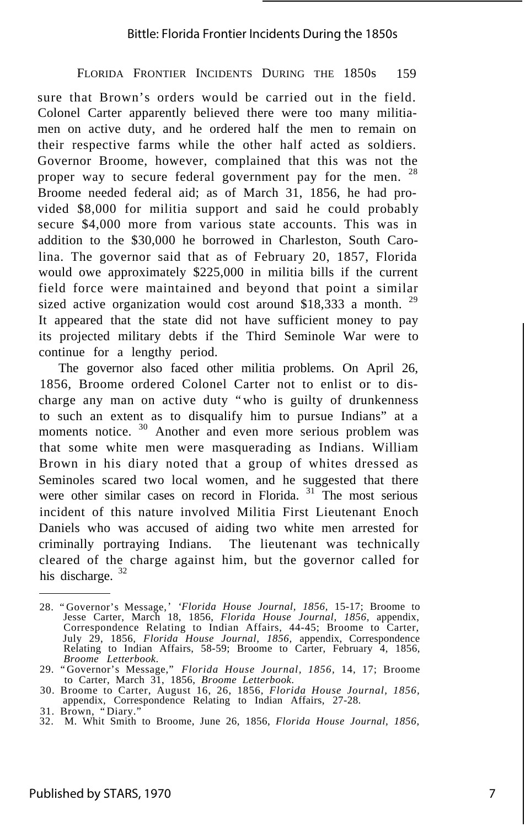#### FLORIDA FRONTIER INCIDENTS DURING THE 1850s 159

sure that Brown's orders would be carried out in the field. Colonel Carter apparently believed there were too many militiamen on active duty, and he ordered half the men to remain on their respective farms while the other half acted as soldiers. Governor Broome, however, complained that this was not the proper way to secure federal government pay for the men. <sup>28</sup> Broome needed federal aid; as of March 31, 1856, he had provided \$8,000 for militia support and said he could probably secure \$4,000 more from various state accounts. This was in addition to the \$30,000 he borrowed in Charleston, South Carolina. The governor said that as of February 20, 1857, Florida would owe approximately \$225,000 in militia bills if the current field force were maintained and beyond that point a similar sized active organization would cost around \$18,333 a month.<sup>29</sup> It appeared that the state did not have sufficient money to pay its projected military debts if the Third Seminole War were to continue for a lengthy period.

The governor also faced other militia problems. On April 26, 1856, Broome ordered Colonel Carter not to enlist or to discharge any man on active duty "who is guilty of drunkenness to such an extent as to disqualify him to pursue Indians" at a moments notice. <sup>30</sup> Another and even more serious problem was that some white men were masquerading as Indians. William Brown in his diary noted that a group of whites dressed as Seminoles scared two local women, and he suggested that there were other similar cases on record in Florida. <sup>31</sup> The most serious incident of this nature involved Militia First Lieutenant Enoch Daniels who was accused of aiding two white men arrested for criminally portraying Indians. The lieutenant was technically cleared of the charge against him, but the governor called for his discharge.  $32$ 

<sup>28. &</sup>quot;Governor's Message,' *'Florida House Journal, 1856,* 15-17; Broome to Jesse Carter, March 18, 1856, *Florida House Journal, 1856,* appendix, Correspondence Relating to Indian Affairs, 44-45; Broome to Carter, July 29, 1856, *Florida House Journal, 1856,* appendix, Correspondence Relating to Indian Affairs, 58-59; Broome to Carter, February 4, 1856, *Broome Letterbook.*

<sup>29. &</sup>quot;Governor's Message," *Florida House Journal, 1856,* 14, 17; Broome to Carter, March 31, 1856, *Broome Letterbook.*

<sup>30.</sup> Broome to Carter, August 16, 26, 1856, *Florida House Journal, 1856,* appendix, Correspondence Relating to Indian Affairs, 27-28.

<sup>31.</sup> Brown, "Diary."

<sup>32.</sup> M. Whit Smith to Broome, June 26, 1856, *Florida House Journal, 1856,*